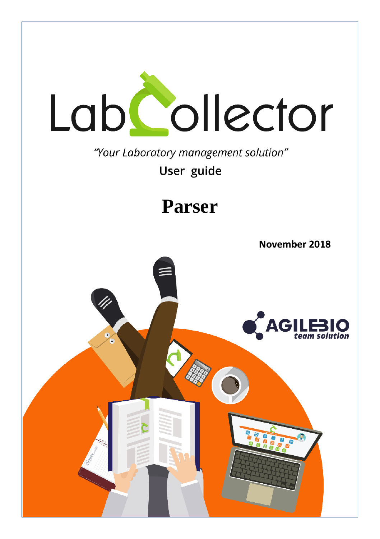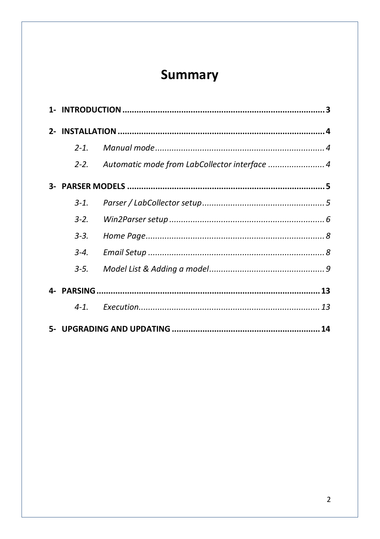# Summary

| $2 - 1$   |                                               |
|-----------|-----------------------------------------------|
| $2 - 2$   | Automatic mode from LabCollector interface  4 |
|           |                                               |
| $3 - 1$ . |                                               |
| $3 - 2$   |                                               |
| $3 - 3$ . |                                               |
| $3 - 4.$  |                                               |
| $3 - 5.$  |                                               |
|           |                                               |
| $4 - 1$   |                                               |
|           |                                               |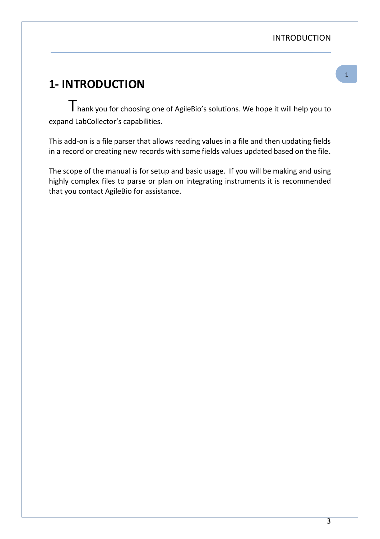# <span id="page-2-0"></span>- **1- INTRODUCTION**

 $T$ hank you for choosing one of AgileBio's solutions. We hope it will help you to expand LabCollector's capabilities.

This add-on is a file parser that allows reading values in a file and then updating fields in a record or creating new records with some fields values updated based on the file.

The scope of the manual is for setup and basic usage. If you will be making and using highly complex files to parse or plan on integrating instruments it is recommended that you contact AgileBio for assistance.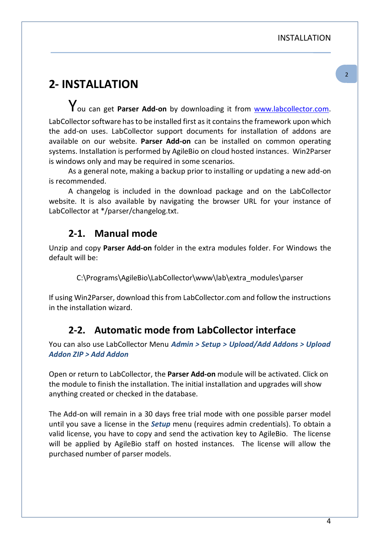## <span id="page-3-0"></span>- **2- INSTALLATION**

You can get **Parser Add-on** by downloading it from [www.labcollector.com.](http://www.labcollector.com/)  LabCollector software has to be installed first as it contains the framework upon which the add-on uses. LabCollector support documents for installation of addons are available on our website. **Parser Add-on** can be installed on common operating systems. Installation is performed by AgileBio on cloud hosted instances. Win2Parser is windows only and may be required in some scenarios.

As a general note, making a backup prior to installing or updating a new add-on is recommended.

A changelog is included in the download package and on the LabCollector website. It is also available by navigating the browser URL for your instance of LabCollector at \*/parser/changelog.txt.

### <span id="page-3-1"></span>**2-1. Manual mode**

Unzip and copy **Parser Add-on** folder in the extra modules folder. For Windows the default will be:

C:\Programs\AgileBio\LabCollector\www\lab\extra\_modules\parser

<span id="page-3-2"></span>If using Win2Parser, download this from LabCollector.com and follow the instructions in the installation wizard.

### **2-2. Automatic mode from LabCollector interface**

You can also use LabCollector Menu *Admin > Setup > Upload/Add Addons > Upload Addon ZIP > Add Addon*

Open or return to LabCollector, the **Parser Add-on** module will be activated. Click on the module to finish the installation. The initial installation and upgrades will show anything created or checked in the database.

The Add-on will remain in a 30 days free trial mode with one possible parser model until you save a license in the *Setup* menu (requires admin credentials). To obtain a valid license, you have to copy and send the activation key to AgileBio. The license will be applied by AgileBio staff on hosted instances. The license will allow the purchased number of parser models.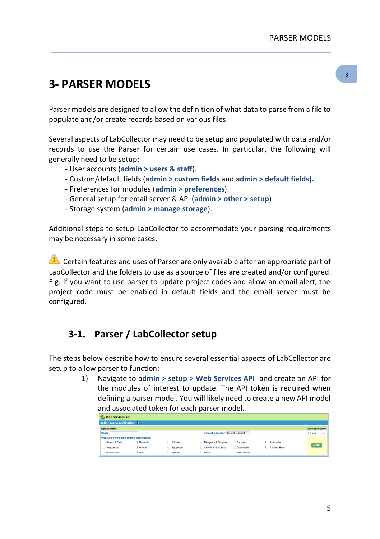# <span id="page-4-0"></span>- **3- PARSER MODELS**

Parser models are designed to allow the definition of what data to parse from a file to populate and/or create records based on various files.

Several aspects of LabCollector may need to be setup and populated with data and/or records to use the Parser for certain use cases. In particular, the following will generally need to be setup:

- User accounts (**admin > users & staff**).
- Custom/default fields (**admin > custom fields** and **admin > default fields).**
- Preferences for modules (**admin > preferences**).
- General setup for email server & API (**admin > other > setup**)
- Storage system (**admin > manage storage**).

Additional steps to setup LabCollector to accommodate your parsing requirements may be necessary in some cases.

 $\Box$  Certain features and uses of Parser are only available after an appropriate part of LabCollector and the folders to use as a source of files are created and/or configured. E.g. if you want to use parser to update project codes and allow an email alert, the project code must be enabled in default fields and the email server must be configured.

### <span id="page-4-1"></span>**3-1. Parser / LabCollector setup**

The steps below describe how to ensure several essential aspects of LabCollector are setup to allow parser to function:

> 1) Navigate to a**dmin > setup > Web Services API** and create an API for the modules of interest to update. The API token is required when defining a parser model. You will likely need to create a new API model and associated token for each parser model.

| Web Services API                       |             |                  |                                    |                     |              |                        |
|----------------------------------------|-------------|------------------|------------------------------------|---------------------|--------------|------------------------|
| Define a new application:              |             |                  |                                    |                     |              |                        |
| <b>Application</b>                     |             |                  |                                    |                     |              | <b>IP Restriction</b>  |
| Name:                                  |             |                  | Default operator: Select Contact ~ |                     |              | $\circ$ Yes $\circ$ No |
| Modules connected to this application: |             |                  |                                    |                     |              |                        |
| Strains & Cells                        | Plasmids    | $\Box$ Primers   | Reagents & Supplies                | $\Box$ Samples      | Antibodies   |                        |
| Sequences                              | Animals     | $\Box$ Equipment | Chemical Structures                | Documents           | Address Book | $+ Add$                |
| □ Microarrays                          | $\Box$ Trap | $\Box$ Species   | $\Box$ Batch                       | $\Box$ Field checks |              |                        |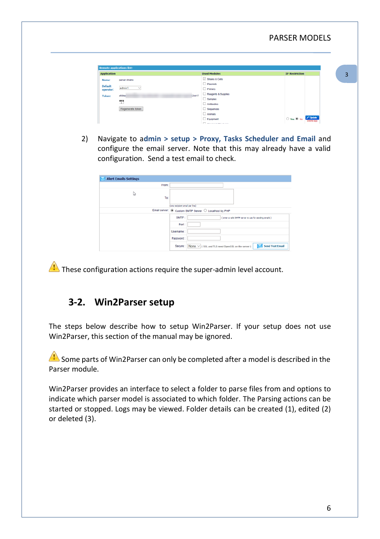| <b>Remote applications list:</b>                               |                     |                                                      |
|----------------------------------------------------------------|---------------------|------------------------------------------------------|
| <b>Application</b>                                             | <b>Used Modules</b> | <b>IP Restriction</b>                                |
| parser strains<br>Name:                                        | Strains & Cells     |                                                      |
| <b>Default</b>                                                 | $\Box$ Plasmids     |                                                      |
| admin1<br>$\checkmark$<br>operator:                            | $P$ rimers          |                                                      |
| a50da<br>32cb17<br>-----<br><b>STATISTICS</b><br><b>Token:</b> | Reagents & Supplies |                                                      |
| 뺖                                                              | $\Box$ Samples      |                                                      |
|                                                                | $\Box$ Antibodies   |                                                      |
| Regenerate token                                               | $\Box$ Sequences    |                                                      |
|                                                                | $\Box$ Animals      |                                                      |
|                                                                | Equipment           | Update<br>Delete app<br>$\bigcirc$ Yes $\bigcirc$ No |

2) Navigate to a**dmin > setup > Proxy, Tasks Scheduler and Email** and configure the email server. Note that this may already have a valid configuration. Send a test email to check.

| <b>Alert Emails Settings</b> |                                                                                             |
|------------------------------|---------------------------------------------------------------------------------------------|
| From:                        |                                                                                             |
| 1ş<br>To:                    | (one recipient email per line)                                                              |
|                              | Email server: @ Custom SMTP Server O Localhost by PHP                                       |
|                              | SMTP:<br>( enter a valid SNTP server to use for sending emails )                            |
|                              | Port:                                                                                       |
|                              | Usemame:                                                                                    |
|                              | Password                                                                                    |
|                              | <b>Send Test Email</b><br>None $\vee$ ( SSL and TLS need OpenSSL on the server )<br>Secure: |

<span id="page-5-0"></span> $\Lambda$  These configuration actions require the super-admin level account.

### **3-2. Win2Parser setup**

The steps below describe how to setup Win2Parser. If your setup does not use Win2Parser, this section of the manual may be ignored.

 $\triangle$  Some parts of Win2Parser can only be completed after a model is described in the Parser module.

Win2Parser provides an interface to select a folder to parse files from and options to indicate which parser model is associated to which folder. The Parsing actions can be started or stopped. Logs may be viewed. Folder details can be created (1), edited (2) or deleted (3).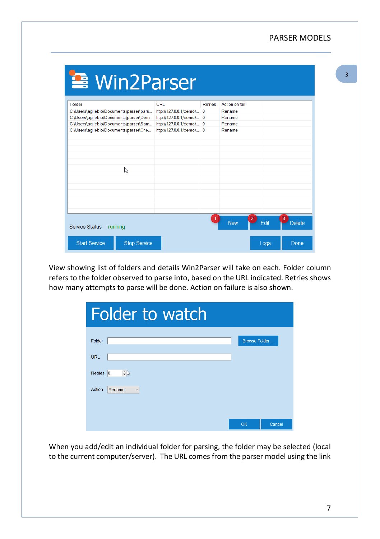### PARSER MODELS

| <b>■ Win2Parser</b>                         |                          |         |                              |      |                    |
|---------------------------------------------|--------------------------|---------|------------------------------|------|--------------------|
| Folder                                      | URL                      | Retries | Action on fail               |      |                    |
| C:\Users\agilebio\Documents\parser\pars     | http://127.0.0.1/demo/ 0 |         | Rename                       |      |                    |
| C:\Users\agilebio\Documents\parser\Dem      | http://127.0.0.1/demo/ 0 |         | Rename                       |      |                    |
| C:\Users\agilebio\Documents\parser\Sam      | http://127.0.0.1/demo/ 0 |         | Rename                       |      |                    |
| C:\Users\agilebio\Documents\parser\Che      | http://127.0.0.1/demo/ 0 |         | Rename                       |      |                    |
|                                             |                          |         |                              |      |                    |
|                                             |                          |         |                              |      |                    |
|                                             |                          |         |                              |      |                    |
|                                             |                          |         |                              |      |                    |
|                                             |                          |         |                              |      |                    |
| r,                                          |                          |         |                              |      |                    |
|                                             |                          |         |                              |      |                    |
|                                             |                          |         |                              |      |                    |
|                                             |                          |         |                              |      |                    |
|                                             |                          |         |                              |      |                    |
|                                             |                          |         |                              |      |                    |
|                                             |                          |         |                              |      |                    |
| <b>Service Status</b><br>running            |                          |         | $\overline{2}$<br><b>New</b> | Edit | 3<br><b>Delete</b> |
| <b>Start Service</b><br><b>Stop Service</b> |                          |         |                              | Logs | Done               |

View showing list of folders and details Win2Parser will take on each. Folder column refers to the folder observed to parse into, based on the URL indicated. Retries shows how many attempts to parse will be done. Action on failure is also shown.

| Folder to watch                            |                      |        |
|--------------------------------------------|----------------------|--------|
| Folder                                     | <b>Browse Folder</b> |        |
| <b>URL</b>                                 |                      |        |
| $\Rightarrow$<br>Retries<br>$\overline{0}$ |                      |        |
| Action<br>Rename<br>$\checkmark$           |                      |        |
|                                            |                      |        |
|                                            |                      |        |
|                                            | OK                   | Cancel |

When you add/edit an individual folder for parsing, the folder may be selected (local to the current computer/server). The URL comes from the parser model using the link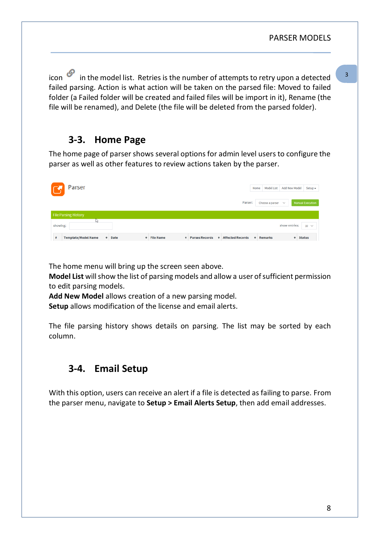icon  $\mathscr P$  in the model list. Retries is the number of attempts to retry upon a detected failed parsing. Action is what action will be taken on the parsed file: Moved to failed folder (a Failed folder will be created and failed files will be import in it), Rename (the file will be renamed), and Delete (the file will be deleted from the parsed folder).

### <span id="page-7-0"></span>**3-3. Home Page**

The home page of parser shows several options for admin level users to configure the parser as well as other features to review actions taken by the parser.

| Parser<br>区                                                                                                                       | Home             | <b>Model List</b>      | <b>Add New Model</b> | $Setup \star$           |
|-----------------------------------------------------------------------------------------------------------------------------------|------------------|------------------------|----------------------|-------------------------|
| Parser:                                                                                                                           |                  | Choose a parser $\sim$ |                      | <b>Manual Execution</b> |
| <b>File Parsing History</b>                                                                                                       |                  |                        |                      |                         |
| ш<br>showing:                                                                                                                     |                  |                        | show entries:        | $10 \sim$               |
| <b>4</b> Affected Records<br><b>Template/Model Name</b><br><b>File Name</b><br><b>O</b> Parses Records<br>٠<br><b>+</b> Date<br>٠ | <b>4</b> Remarks |                        | <b>o</b> Status      |                         |

The home menu will bring up the screen seen above.

**Model List** will show the list of parsing models and allow a user of sufficient permission to edit parsing models.

**Add New Model** allows creation of a new parsing model.

**Setup** allows modification of the license and email alerts.

The file parsing history shows details on parsing. The list may be sorted by each column.

### <span id="page-7-1"></span>**3-4. Email Setup**

With this option, users can receive an alert if a file is detected as failing to parse. From the parser menu, navigate to **Setup > Email Alerts Setup**, then add email addresses.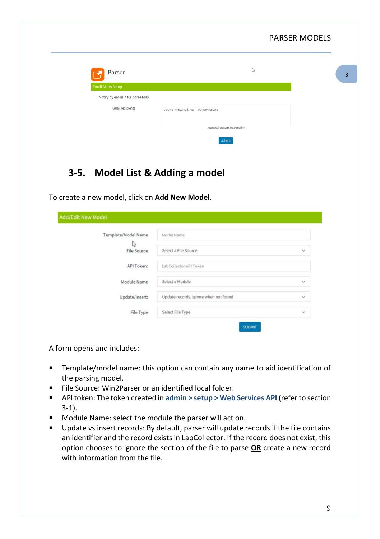|                                                                  |                                              | <b>PARSER MODELS</b> |
|------------------------------------------------------------------|----------------------------------------------|----------------------|
| Parser                                                           | r,                                           | 3                    |
| <b>Email Alerts Setup</b><br>Notify by email if file parse fails |                                              |                      |
| <b>Email recipients</b>                                          | parsing_@myemail.net;IT_Works@mail.org       |                      |
|                                                                  | Input email accounts separated by:<br>Submit |                      |
| 3-5. Model List & Adding a model                                 |                                              |                      |

<span id="page-8-0"></span>To create a new model, click on **Add New Model**.

| Template/Model Name     | Model Name                            |                      |
|-------------------------|---------------------------------------|----------------------|
| V<br><b>File Source</b> | Select a File Source                  | $\ddot{\phantom{1}}$ |
| API Token:              | LabCollector API Token                |                      |
| Module Name             | Select a Module                       | $\checkmark$         |
| Update/Insert:          | Update records. Ignore when not found | $\checkmark$         |
| File Type               | Select File Type                      | $\hat{\mathbf{v}}$   |

A form opens and includes:

- Template/model name: this option can contain any name to aid identification of the parsing model.
- File Source: Win2Parser or an identified local folder.
- API token: The token created in admin > setup > Web Services API (refer to section [3-1\)](#page-4-1).
- Module Name: select the module the parser will act on.
- Update vs insert records: By default, parser will update records if the file contains an identifier and the record exists in LabCollector. If the record does not exist, this option chooses to ignore the section of the file to parse **OR** create a new record with information from the file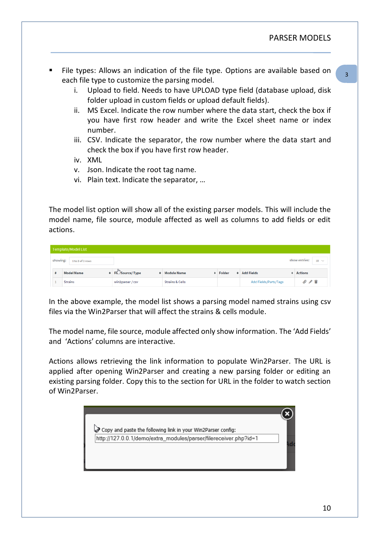- File types: Allows an indication of the file type. Options are available based on each file type to customize the parsing model.
	- i. Upload to field. Needs to have UPLOAD type field (database upload, disk folder upload in custom fields or upload default fields).
	- ii. MS Excel. Indicate the row number where the data start, check the box if you have first row header and write the Excel sheet name or index number.
	- iii. CSV. Indicate the separator, the row number where the data start and check the box if you have first row header.
	- iv. XML
	- v. Json. Indicate the root tag name.
	- vi. Plain text. Indicate the separator, …

The model list option will show all of the existing parser models. This will include the model name, file source, module affected as well as columns to add fields or edit actions.

|          | Template/Model List |                               |                            |                 |                              |                                |
|----------|---------------------|-------------------------------|----------------------------|-----------------|------------------------------|--------------------------------|
| showing: | 1 to 3 of 3 rows    |                               |                            |                 |                              | show entries:<br>$10 \sqrt{ }$ |
|          | <b>Model Name</b>   | <b>• Fi</b> Source/ Type<br>٠ | <b>Module Name</b>         | <b>+</b> Folder | <b>4</b> Add Fields          | <b>4</b> Actions               |
|          | <b>Strains</b>      | win2parser / csv              | <b>Strains &amp; Cells</b> |                 | <b>Add Fields/Parts/Tags</b> | $O \neq \blacksquare$          |

In the above example, the model list shows a parsing model named strains using csv files via the Win2Parser that will affect the strains & cells module.

The model name, file source, module affected only show information. The 'Add Fields' and 'Actions' columns are interactive.

Actions allows retrieving the link information to populate Win2Parser. The URL is applied after opening Win2Parser and creating a new parsing folder or editing an existing parsing folder. Copy this to the section for URL in the folder to watch section of Win2Parser.

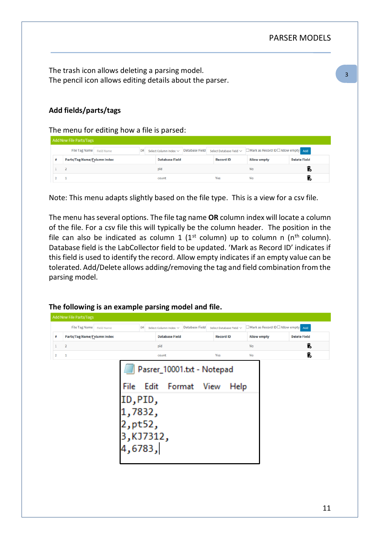The trash icon allows deleting a parsing model. The pencil icon allows editing details about the parser.

#### **Add fields/parts/tags**

The menu for editing how a file is parsed:

|  | OR                                                                                        |                       |                            |                       |     |                    |                                                                              |
|--|-------------------------------------------------------------------------------------------|-----------------------|----------------------------|-----------------------|-----|--------------------|------------------------------------------------------------------------------|
|  |                                                                                           | <b>Database Field</b> |                            |                       |     | <b>Allow empty</b> | <b>Delete Field</b>                                                          |
|  |                                                                                           | pid                   |                            |                       |     | No                 |                                                                              |
|  |                                                                                           | count                 |                            |                       | Yes | No                 |                                                                              |
|  | <b>Add New File Parts/Tags</b><br>File Tag Name Field Name<br>Parts/Tag Name/Column Index |                       | Select Column Index $\vee$ | <b>Database Field</b> |     | <b>Record ID</b>   | Select Database Field $\vee$ $\Box$ Mark as Record ID $\Box$ Allow empty Add |

Note: This menu adapts slightly based on the file type. This is a view for a csv file.

The menu has several options. The file tag name **OR** column index will locate a column of the file. For a csv file this will typically be the column header. The position in the file can also be indicated as column 1 ( $1<sup>st</sup>$  column) up to column n ( $n<sup>th</sup>$  column). Database field is the LabCollector field to be updated. 'Mark as Record ID' indicates if this field is used to identify the record. Allow empty indicates if an empty value can be tolerated. Add/Delete allows adding/removing the tag and field combination from the parsing model.

#### **The following is an example parsing model and file.**

|              | File Tag Name Field Name    | OR                                                | Select Column Index ~ | <b>Database Field</b> |     | Select Database Field $\vee$ | Mark as Record ID Allow empty Add |                     |
|--------------|-----------------------------|---------------------------------------------------|-----------------------|-----------------------|-----|------------------------------|-----------------------------------|---------------------|
| #            | Parts/Tag Name/Column Index |                                                   | <b>Database Field</b> |                       |     | <b>Record ID</b>             | <b>Allow empty</b>                | <b>Delete Field</b> |
| $\mathbf{1}$ | $\overline{\mathbf{2}}$     |                                                   | pid                   |                       |     |                              | No                                | Ī.                  |
| $\mathbf 2$  | $\mathbf{1}$                |                                                   | count                 |                       | Yes |                              | No                                | Î.                  |
|              |                             | File<br>ID, PID,<br>,7832,<br>, pt52<br>3,KJ/312, |                       | Edit Format View      |     | Help                         |                                   |                     |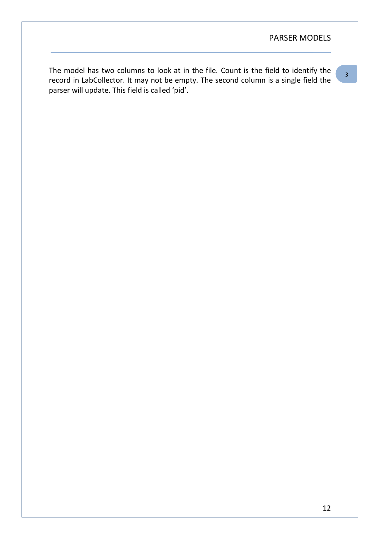### PARSER MODELS

3 -

The model has two columns to look at in the file. Count is the field to identify the record in LabCollector. It may not be empty. The second column is a single field the parser will update. This field is called 'pid'.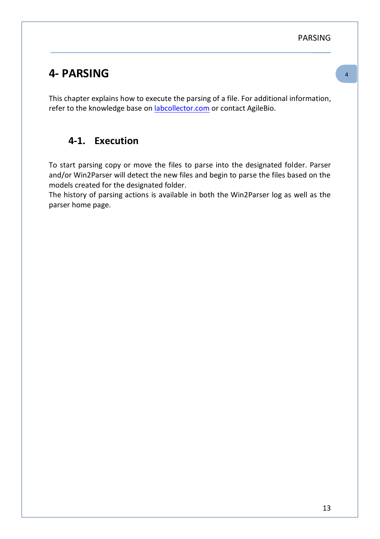PARSING

# <span id="page-12-0"></span>**4- PARSING**

This chapter explains how to execute the parsing of a file. For additional information, refer to the knowledge base on **labcollector.com** or contact AgileBio.

### <span id="page-12-1"></span>**4-1. Execution**

To start parsing copy or move the files to parse into the designated folder. Parser and/or Win2Parser will detect the new files and begin to parse the files based on the models created for the designated folder.

The history of parsing actions is available in both the Win2Parser log as well as the parser home page.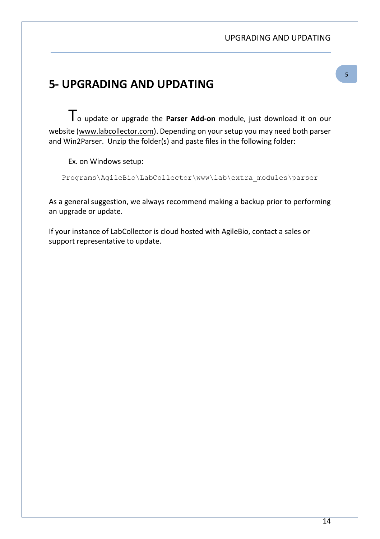#### UPGRADING AND UPDATING

## <span id="page-13-0"></span>- **5- UPGRADING AND UPDATING**

To update or upgrade the **Parser Add-on** module, just download it on our website [\(www.labcollector.com\)](http://www.labcollector.com/). Depending on your setup you may need both parser and Win2Parser. Unzip the folder(s) and paste files in the following folder:

Ex. on Windows setup:

Programs\AgileBio\LabCollector\www\lab\extra\_modules\parser

As a general suggestion, we always recommend making a backup prior to performing an upgrade or update.

If your instance of LabCollector is cloud hosted with AgileBio, contact a sales or support representative to update.